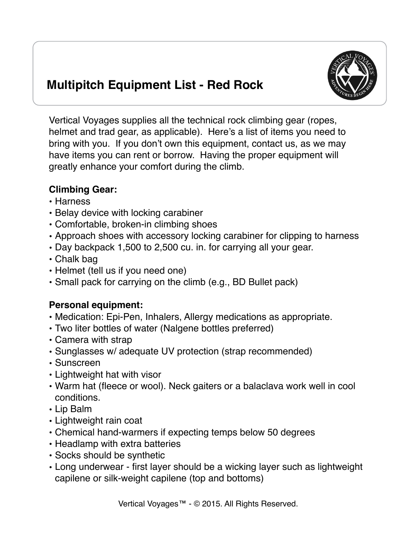

## **Multipitch Equipment List - Red Rock**

Vertical Voyages supplies all the technical rock climbing gear (ropes, helmet and trad gear, as applicable). Here's a list of items you need to bring with you. If you don't own this equipment, contact us, as we may have items you can rent or borrow. Having the proper equipment will greatly enhance your comfort during the climb.

## **Climbing Gear:**

- Harness
- Belay device with locking carabiner
- Comfortable, broken-in climbing shoes
- Approach shoes with accessory locking carabiner for clipping to harness
- Day backpack 1,500 to 2,500 cu. in. for carrying all your gear.
- Chalk bag
- Helmet (tell us if you need one)
- Small pack for carrying on the climb (e.g., BD Bullet pack)

## **Personal equipment:**

- Medication: Epi-Pen, Inhalers, Allergy medications as appropriate.
- Two liter bottles of water (Nalgene bottles preferred)
- Camera with strap
- Sunglasses w/ adequate UV protection (strap recommended)
- Sunscreen
- Lightweight hat with visor
- Warm hat (fleece or wool). Neck gaiters or a balaclava work well in cool conditions.
- Lip Balm
- Lightweight rain coat
- Chemical hand-warmers if expecting temps below 50 degrees
- Headlamp with extra batteries
- Socks should be synthetic
- Long underwear first layer should be a wicking layer such as lightweight capilene or silk-weight capilene (top and bottoms)